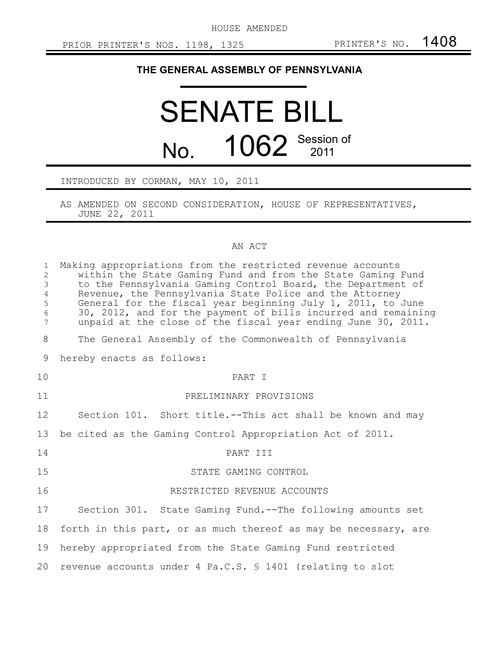HOUSE AMENDED

## **THE GENERAL ASSEMBLY OF PENNSYLVANIA**

## SENATE BILL No. 1062 Session of

## INTRODUCED BY CORMAN, MAY 10, 2011

AS AMENDED ON SECOND CONSIDERATION, HOUSE OF REPRESENTATIVES, JUNE 22, 2011

## AN ACT

| $\mathbf{1}$<br>$\overline{2}$<br>$\mathfrak{Z}$<br>$\overline{4}$<br>5<br>$\epsilon$<br>7 | Making appropriations from the restricted revenue accounts<br>within the State Gaming Fund and from the State Gaming Fund<br>to the Pennsylvania Gaming Control Board, the Department of<br>Revenue, the Pennsylvania State Police and the Attorney<br>General for the fiscal year beginning July 1, 2011, to June<br>30, 2012, and for the payment of bills incurred and remaining<br>unpaid at the close of the fiscal year ending June 30, 2011. |
|--------------------------------------------------------------------------------------------|-----------------------------------------------------------------------------------------------------------------------------------------------------------------------------------------------------------------------------------------------------------------------------------------------------------------------------------------------------------------------------------------------------------------------------------------------------|
| 8                                                                                          | The General Assembly of the Commonwealth of Pennsylvania                                                                                                                                                                                                                                                                                                                                                                                            |
| 9                                                                                          | hereby enacts as follows:                                                                                                                                                                                                                                                                                                                                                                                                                           |
| 10                                                                                         | PART I                                                                                                                                                                                                                                                                                                                                                                                                                                              |
| 11                                                                                         | PRELIMINARY PROVISIONS                                                                                                                                                                                                                                                                                                                                                                                                                              |
| 12                                                                                         | Section 101. Short title.--This act shall be known and may                                                                                                                                                                                                                                                                                                                                                                                          |
| 13                                                                                         | be cited as the Gaming Control Appropriation Act of 2011.                                                                                                                                                                                                                                                                                                                                                                                           |
| 14                                                                                         | PART III                                                                                                                                                                                                                                                                                                                                                                                                                                            |
| 15                                                                                         | STATE GAMING CONTROL                                                                                                                                                                                                                                                                                                                                                                                                                                |
| 16                                                                                         | RESTRICTED REVENUE ACCOUNTS                                                                                                                                                                                                                                                                                                                                                                                                                         |
| 17                                                                                         | Section 301. State Gaming Fund.--The following amounts set                                                                                                                                                                                                                                                                                                                                                                                          |
| 18                                                                                         | forth in this part, or as much thereof as may be necessary, are                                                                                                                                                                                                                                                                                                                                                                                     |
| 19                                                                                         | hereby appropriated from the State Gaming Fund restricted                                                                                                                                                                                                                                                                                                                                                                                           |
| 20                                                                                         | revenue accounts under 4 Pa.C.S. \$ 1401 (relating to slot                                                                                                                                                                                                                                                                                                                                                                                          |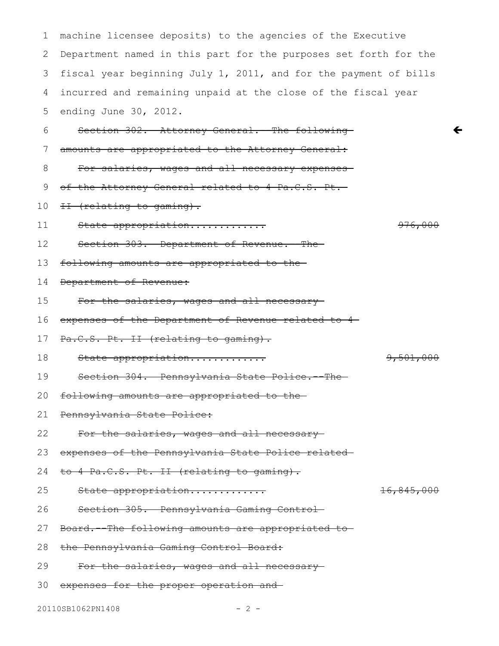machine licensee deposits) to the agencies of the Executive Department named in this part for the purposes set forth for the fiscal year beginning July 1, 2011, and for the payment of bills incurred and remaining unpaid at the close of the fiscal year ending June 30, 2012. Section 302. Attorney General. -The followingamounts are appropriated to the Attorney General: For salaries, wages and all necessary expenses of the Attorney General related to 4 Pa.C.S. Pt. II (relating to gaming). State appropriation............. 976,000 Section 303. Department of Revenue.--Thefollowing amounts are appropriated to the Department of Revenue: For the salaries, wages and all necessaryexpenses of the Department of Revenue related to 4 Pa.C.S. Pt. II (relating to gaming). State appropriation............. 9,501,000 Section 304. Pennsylvania State Police.--The following amounts are appropriated to the Pennsylvania State Police: For the salaries, wages and all necessaryexpenses of the Pennsylvania State Police related to 4 Pa.C.S. Pt. II (relating to gaming). State appropriation............. 16,845,000 Section 305. Pennsylvania Gaming Control Board.--The following amounts are appropriated to the Pennsylvania Gaming Control Board: For the salaries, wages and all necessaryexpenses for the proper operation and 1 2 3 4 5 6 7 8 9 10 11 12 13 14 15 16 17 18 19 20 21 22 23 24 25 26 27 28 29 30

 $\leftarrow$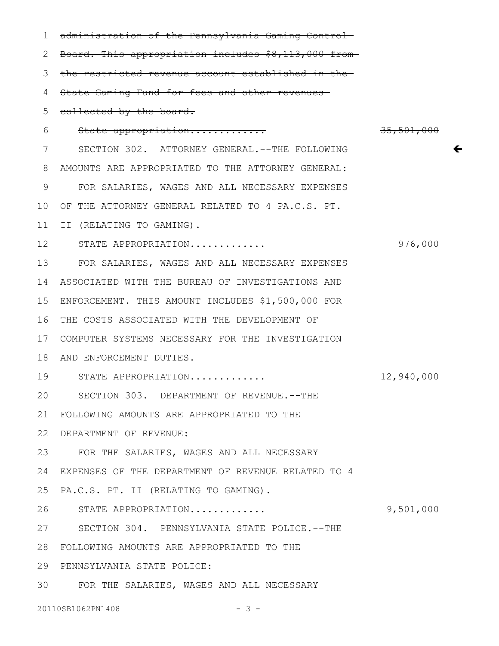administration of the Pennsylvania Gaming Control 2 Board. This appropriation includes \$8,113,000 from 3 the restricted revenue account established in the State Gaming Fund for fees and other revenues collected by the board. State appropriation............. 35,501,000 SECTION 302. ATTORNEY GENERAL.--THE FOLLOWING AMOUNTS ARE APPROPRIATED TO THE ATTORNEY GENERAL: 8 FOR SALARIES, WAGES AND ALL NECESSARY EXPENSES 10 OF THE ATTORNEY GENERAL RELATED TO 4 PA.C.S. PT. II (RELATING TO GAMING). 11 STATE APPROPRIATION............. 976,000 12 FOR SALARIES, WAGES AND ALL NECESSARY EXPENSES 13 ASSOCIATED WITH THE BUREAU OF INVESTIGATIONS AND 14 ENFORCEMENT. THIS AMOUNT INCLUDES \$1,500,000 FOR 15 16 THE COSTS ASSOCIATED WITH THE DEVELOPMENT OF COMPUTER SYSTEMS NECESSARY FOR THE INVESTIGATION 17 18 AND ENFORCEMENT DUTIES. STATE APPROPRIATION............. 12,940,000 19 SECTION 303. DEPARTMENT OF REVENUE.--THE FOLLOWING AMOUNTS ARE APPROPRIATED TO THE 21 DEPARTMENT OF REVENUE: 22 FOR THE SALARIES, WAGES AND ALL NECESSARY 23 EXPENSES OF THE DEPARTMENT OF REVENUE RELATED TO 4 24 25 PA.C.S. PT. II (RELATING TO GAMING). STATE APPROPRIATION............. 9,501,000 27 SECTION 304. PENNSYLVANIA STATE POLICE.--THE FOLLOWING AMOUNTS ARE APPROPRIATED TO THE 28 29 PENNSYLVANIA STATE POLICE: FOR THE SALARIES, WAGES AND ALL NECESSARY 1 4 5 6 7 9 20 26 30

 $\leftarrow$